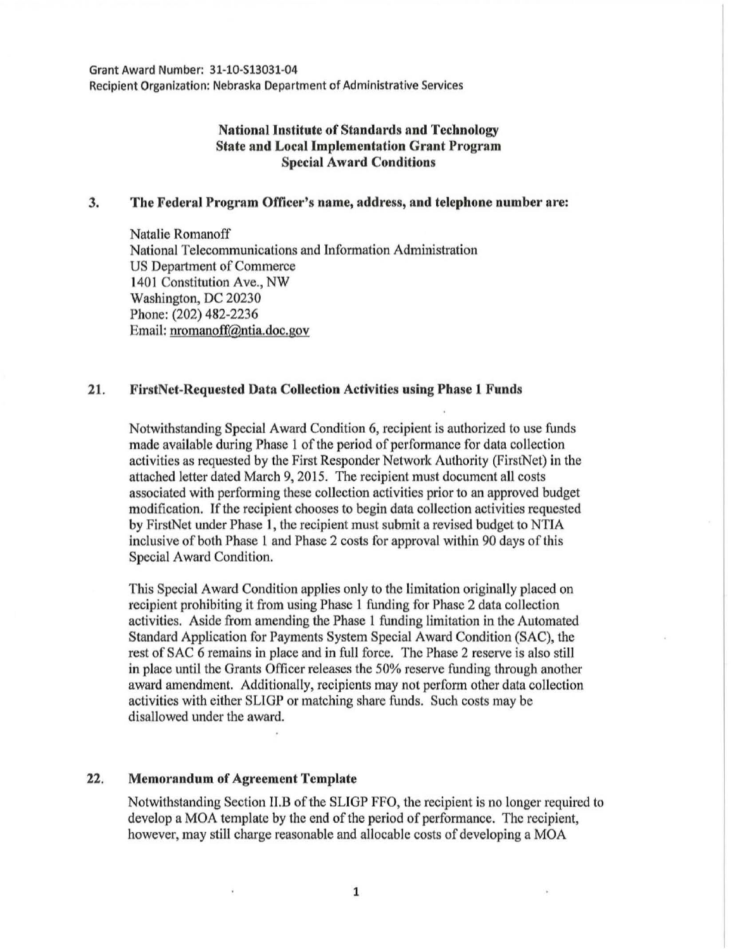Grant Award Number: 31-10-S13031-04 Recipient Organization: Nebraska Department of Administrative Services

# National Institute of Standards and Technology State and Local Implementation Grant Program Special Award Conditions

### 3. The Federal Program Officer's name, address, and telephone number are:

Natalie Romanoff National Telecommunications and Information Administration US Department of Commerce 1401 Constitution Ave., NW Washington, DC 20230 Phone: (202) 482-2236 Email: nromanoff@ntia.doc.gov

### 21. FirstNct-Requested Data Collection Activities using Phase 1 Funds

Notwithstanding Special Award Condition 6, recipient is authorized to use funds made available during Phase 1 of the period of performance for data collection activities as requested by the First Responder Network Authority (FirstNet) in the attached letter dated March 9, 2015. The recipient must document all costs associated with performing these collection activities prior to an approved budget modification. If the recipient chooses to begin data collection activities requested by FirstNet under Phase 1, the recipient must submit a revised budget to NTIA inclusive of both Phase l and Phase 2 costs for approval within 90 days of this Special Award Condition.

This Special Award Condition applies only to the limitation originally placed on recipient prohibiting it from using Phase 1 funding for Phase 2 data collection activities. Aside from amending the Phase 1 funding limitation in the Automated Standard Application for Payments System Special Award Condition (SAC), the rest of SAC 6 remains in place and in full force. The Phase 2 reserve is also still in place until the Grants Officer releases the 50% reserve funding through another award amendment. Additionally, recipients may not perform other data collection activities with either SLlGP or matching share funds. Such costs may be disallowed under the award.

## 22. Memorandum of Agreement Template

Notwithstanding Section II.B of the SLIGP FFO, the recipient is no longer required to develop a MOA template by the end of the period of performance. The recipient, however, may still charge reasonable and allocable costs of developing a MOA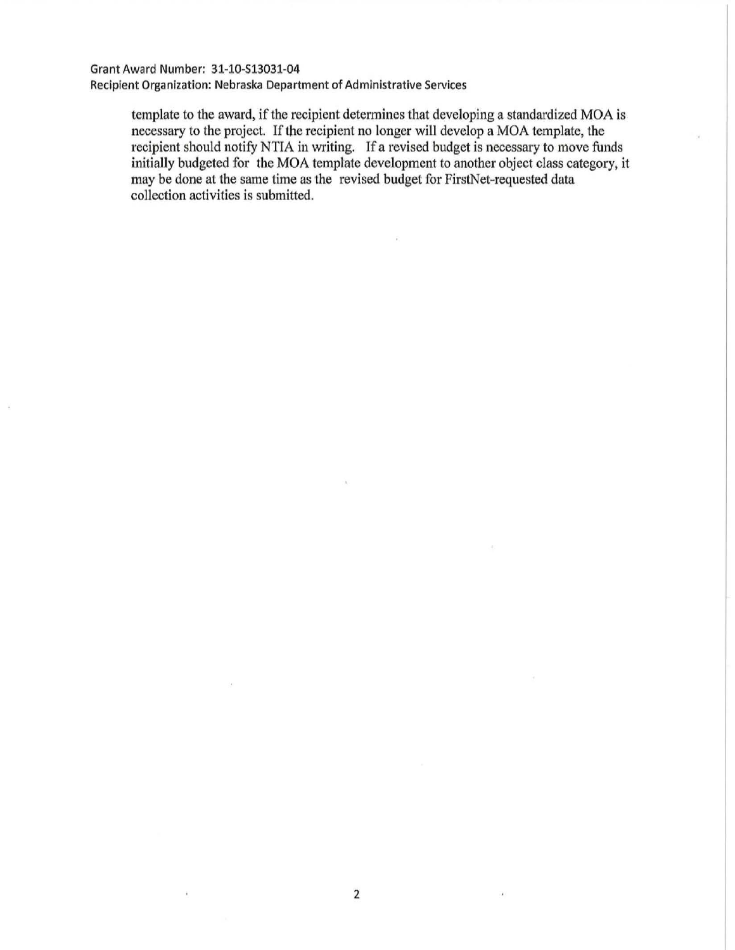## Grant Award Number: 31-10-513031-04

Recipient Organization: Nebraska Department of Administrative Services

template to the award, if the recipient determines that developing a standardized MOA is necessary to the project. If the recipient no longer will develop a MOA template, the recipient should notify NTIA in writing. If a revised budget is necessary to move funds initially budgeted for the MOA template development to another object class category, it may be done at the same time as the revised budget for FirstNet-requested data collection activities is submitted.